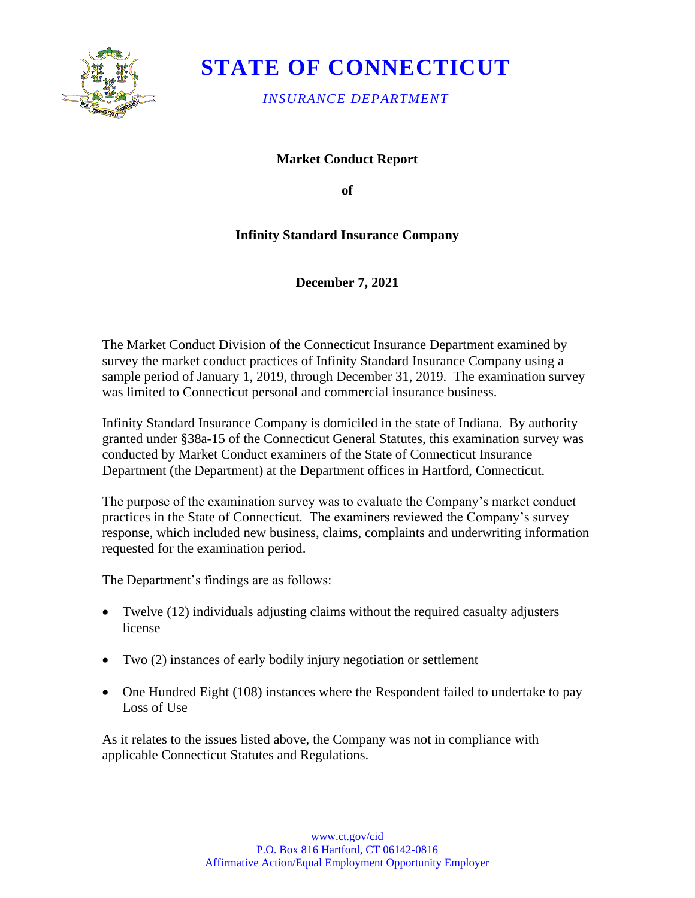

# **STATE OF CONNECTICUT**

*INSURANCE DEPARTMENT* 

**Market Conduct Report** 

**of** 

### **Infinity Standard Insurance Company**

**December 7, 2021** 

The Market Conduct Division of the Connecticut Insurance Department examined by survey the market conduct practices of Infinity Standard Insurance Company using a sample period of January 1, 2019, through December 31, 2019. The examination survey was limited to Connecticut personal and commercial insurance business.

Infinity Standard Insurance Company is domiciled in the state of Indiana. By authority granted under §38a-15 of the Connecticut General Statutes, this examination survey was conducted by Market Conduct examiners of the State of Connecticut Insurance Department (the Department) at the Department offices in Hartford, Connecticut.

The purpose of the examination survey was to evaluate the Company's market conduct practices in the State of Connecticut. The examiners reviewed the Company's survey response, which included new business, claims, complaints and underwriting information requested for the examination period.

The Department's findings are as follows:

- Twelve (12) individuals adjusting claims without the required casualty adjusters license
- Two (2) instances of early bodily injury negotiation or settlement
- One Hundred Eight (108) instances where the Respondent failed to undertake to pay Loss of Use

As it relates to the issues listed above, the Company was not in compliance with applicable Connecticut Statutes and Regulations.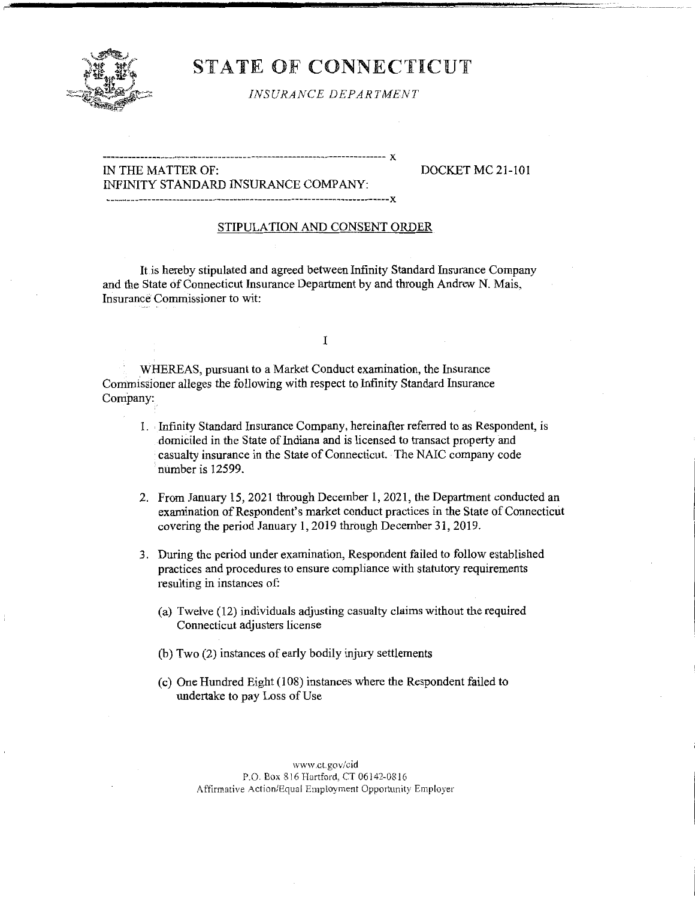

## STATE OF CONNECTICUT

*INSURANCE DEPARTMENT* 

#### ------------------ -------------------~~-------------------------- X IN THE MATTER OF: DOCKET MC 21-101 INFINITY STANDARD INSURANCE COMPANY:

---------------------------------------------------------------------x

#### STIPULATION AND CONSENT ORDER

It is hereby stipulated and agreed between Infinity Standard Insurance Company and the State of Connecticut Insurance Department by and through Andrew N. Mais, Insurance Commissioner to wit:

I

WHEREAS, pursuant to a Market Conduct examination, the Insurance Commissioner alleges the following with respect to Infinity Standard Insurance Company:

- 1. Infinity Standard Insurance Company, hereinafter referred to as Respondent, is domiciled in the State of Indiana and is licensed to transact property and casualty insurance in the State of Connecticut. The NAIC company code number is 12599.
- 2. From January 15, 2021 through December I, 2021, the Department conducted an examination of Respondent's market conduct practices in the State of Connecticut covering the period January 1, 2019 through December 31, 2019.
- 3. During the period under examination, Respondent failed to follow established practices and procedures to ensure compliance with statutory requirements resulting in instances of:
	- (a) Twelve (12) individuals adjusting casualty claims without the required Connecticut adjusters license
	- (b) Two (2) instances of early bodily injury settlements
	- ( c) One Hundred Eight (108) instances where the Respondent failed to undertake to pay Loss of Use

,vww **.ct.gov/cid**  P.O. Box 816 Hartford, CT 06142-0816 Affirmative Action/Equal Employment Opportunity Employer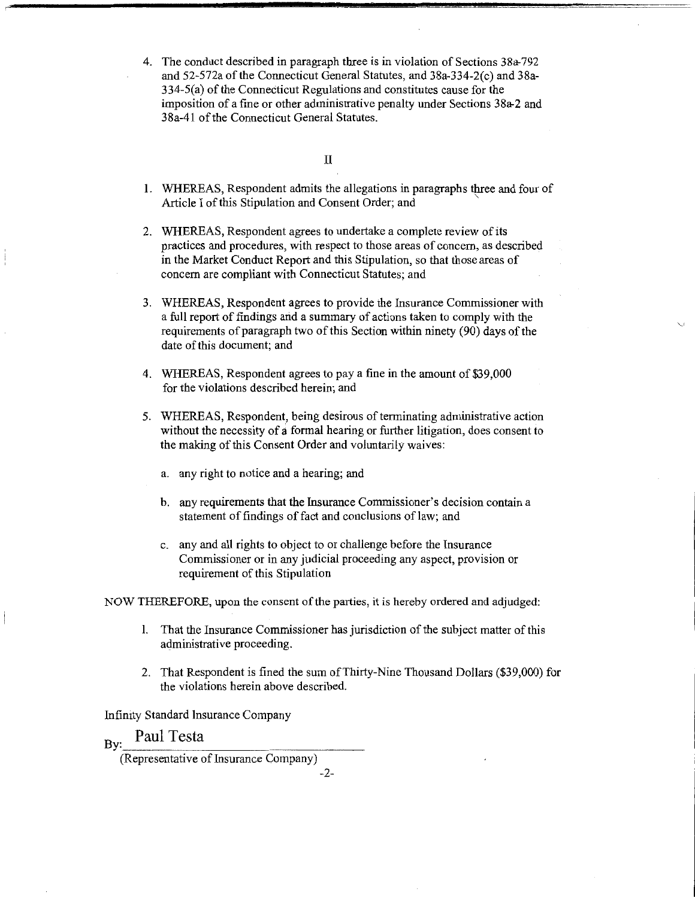4. The conduct described in paragraph three is in violation of Sections 38a-792 and 52-572a of the Connecticut General Statutes, and 38a-334-2(c) and 38a-334-5(a) of the Connecticut Regulations and constitutes cause for the imposition of a fine or other administrative penalty under Sections 38a-2 and 38a-41 of the Connecticut General Statutes.

#### II

- **1.** WHEREAS, Respondent admits the allegations in paragraphs three and four of Article I of this Stipulation and Consent Order; and '
- 2. WHEREAS, Respondent agrees to undertake a complete review of its practices and procedures, with respect to those areas of concern, as described in the Market Conduct Report and this Stipulation, so that those areas of concern are compliant with Connecticut Statutes; and
- 3. WHEREAS, Respondent agrees to provide the Insurance Commissioner with a full report of findings and a summary of actions taken to comply with the requirements of paragraph two of this Section within ninety (90) days of the date of this document; and
- 4. WHEREAS, Respondent agrees to pay a fine in the amount of \$39,000 for the violations described herein; and
- 5. WHEREAS, Respondent, being desirous of terminating administrative action without the necessity of a formal hearing or further litigation, does consent to the making of this Consent Order and voluntarily waives:
	- a. any right to notice and a hearing; and
	- b. any requirements that the Insurance Commissioner's decision contain a statement of findings of fact and conclusions of law; and
	- c. any and all rights to object to or challenge before the Insurance Commissioner or in any judicial proceeding any aspect, provision or requirement of this Stipulation

NOW THEREFORE, upon the consent of the parties, it is hereby ordered and adjudged:

- I. That the Insurance Commissioner has jurisdiction of the subject matter of this administrative proceeding.
- 2. That Respondent is fined the sum ofThirty-Nine Thousand Dollars (\$39,000) for the violations herein above described.

Infinity Standard Insurance Company

## **By:** Paul Testa

-2-

<sup>(</sup>Representative of Insurance Company)